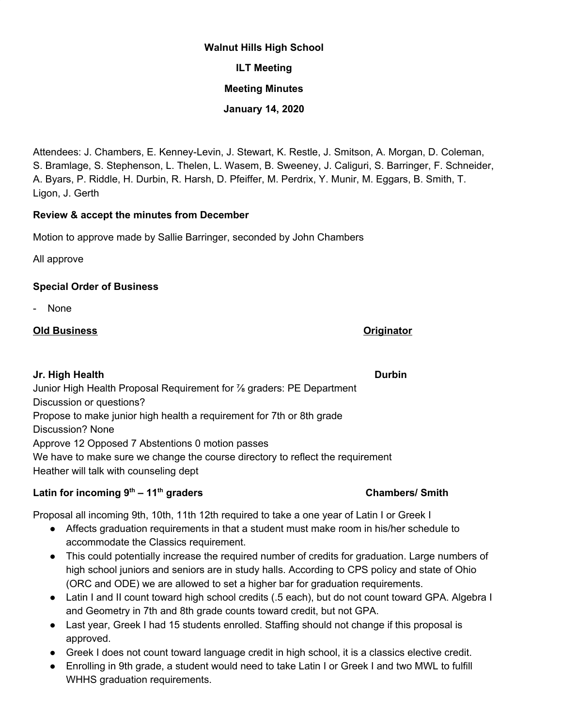# **Walnut Hills High School**

### **ILT Meeting**

### **Meeting Minutes**

## **January 14, 2020**

Attendees: J. Chambers, E. Kenney-Levin, J. Stewart, K. Restle, J. Smitson, A. Morgan, D. Coleman, S. Bramlage, S. Stephenson, L. Thelen, L. Wasem, B. Sweeney, J. Caliguri, S. Barringer, F. Schneider, A. Byars, P. Riddle, H. Durbin, R. Harsh, D. Pfeiffer, M. Perdrix, Y. Munir, M. Eggars, B. Smith, T. Ligon, J. Gerth

### **Review & accept the minutes from December**

Motion to approve made by Sallie Barringer, seconded by John Chambers

All approve

### **Special Order of Business**

- None

### **Old Business Originator**

### **Jr. High Health Durbin**

Junior High Health Proposal Requirement for ⅞ graders: PE Department Discussion or questions? Propose to make junior high health a requirement for 7th or 8th grade Discussion? None Approve 12 Opposed 7 Abstentions 0 motion passes We have to make sure we change the course directory to reflect the requirement Heather will talk with counseling dept

# **Latin for incoming 9 th – 11**

Proposal all incoming 9th, 10th, 11th 12th required to take a one year of Latin I or Greek I

- Affects graduation requirements in that a student must make room in his/her schedule to accommodate the Classics requirement.
- This could potentially increase the required number of credits for graduation. Large numbers of high school juniors and seniors are in study halls. According to CPS policy and state of Ohio (ORC and ODE) we are allowed to set a higher bar for graduation requirements.
- Latin I and II count toward high school credits (.5 each), but do not count toward GPA. Algebra I and Geometry in 7th and 8th grade counts toward credit, but not GPA.
- Last year, Greek I had 15 students enrolled. Staffing should not change if this proposal is approved.
- Greek I does not count toward language credit in high school, it is a classics elective credit.
- Enrolling in 9th grade, a student would need to take Latin I or Greek I and two MWL to fulfill WHHS graduation requirements.

### **th graders Chambers/ Smith**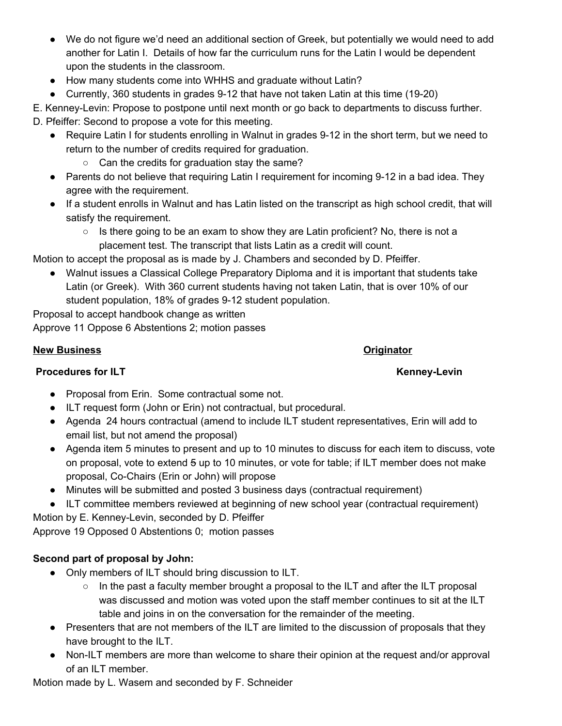- We do not figure we'd need an additional section of Greek, but potentially we would need to add another for Latin I. Details of how far the curriculum runs for the Latin I would be dependent upon the students in the classroom.
- How many students come into WHHS and graduate without Latin?
- Currently, 360 students in grades 9-12 that have not taken Latin at this time (19-20)

E. Kenney-Levin: Propose to postpone until next month or go back to departments to discuss further. D. Pfeiffer: Second to propose a vote for this meeting.

- Require Latin I for students enrolling in Walnut in grades 9-12 in the short term, but we need to return to the number of credits required for graduation.
	- Can the credits for graduation stay the same?
- Parents do not believe that requiring Latin I requirement for incoming 9-12 in a bad idea. They agree with the requirement.
- If a student enrolls in Walnut and has Latin listed on the transcript as high school credit, that will satisfy the requirement.
	- $\circ$  Is there going to be an exam to show they are Latin proficient? No, there is not a placement test. The transcript that lists Latin as a credit will count.

Motion to accept the proposal as is made by J. Chambers and seconded by D. Pfeiffer.

● Walnut issues a Classical College Preparatory Diploma and it is important that students take Latin (or Greek). With 360 current students having not taken Latin, that is over 10% of our student population, 18% of grades 9-12 student population.

Proposal to accept handbook change as written Approve 11 Oppose 6 Abstentions 2; motion passes

# **New Business Originator**

# **Procedures for ILT Kenney-Levin**

- Proposal from Erin. Some contractual some not.
- ILT request form (John or Erin) not contractual, but procedural.
- Agenda 24 hours contractual (amend to include ILT student representatives, Erin will add to email list, but not amend the proposal)
- Agenda item 5 minutes to present and up to 10 minutes to discuss for each item to discuss, vote on proposal, vote to extend 5 up to 10 minutes, or vote for table; if ILT member does not make proposal, Co-Chairs (Erin or John) will propose
- Minutes will be submitted and posted 3 business days (contractual requirement)
- ILT committee members reviewed at beginning of new school year (contractual requirement)

Motion by E. Kenney-Levin, seconded by D. Pfeiffer

Approve 19 Opposed 0 Abstentions 0; motion passes

# **Second part of proposal by John:**

- Only members of ILT should bring discussion to ILT.
	- $\circ$  In the past a faculty member brought a proposal to the ILT and after the ILT proposal was discussed and motion was voted upon the staff member continues to sit at the ILT table and joins in on the conversation for the remainder of the meeting.
- Presenters that are not members of the ILT are limited to the discussion of proposals that they have brought to the ILT.
- Non-ILT members are more than welcome to share their opinion at the request and/or approval of an ILT member.

Motion made by L. Wasem and seconded by F. Schneider